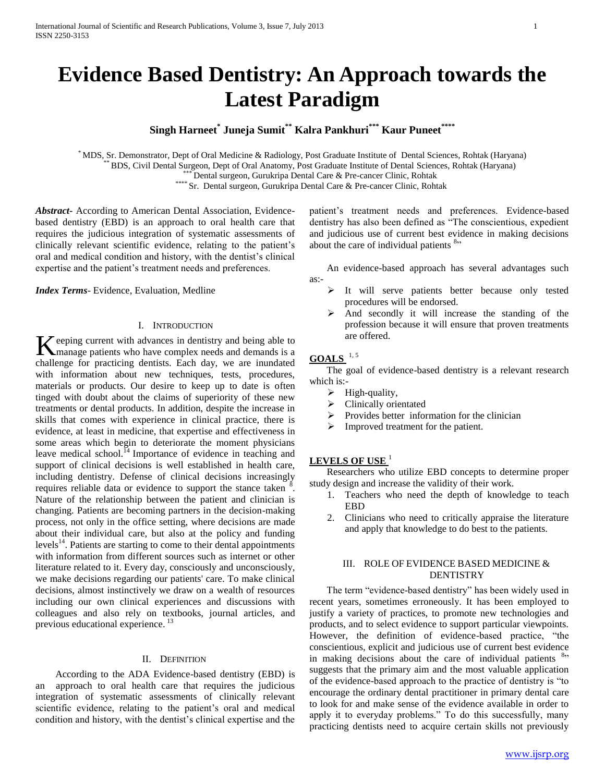# **Evidence Based Dentistry: An Approach towards the Latest Paradigm**

**Singh Harneet\* Juneja Sumit\*\* Kalra Pankhuri\*\*\* Kaur Puneet\*\*\*\***

\* MDS, Sr. Demonstrator, Dept of Oral Medicine & Radiology, Post Graduate Institute of Dental Sciences, Rohtak (Haryana) \*\* BDS, Civil Dental Surgeon, Dept of Oral Anatomy, Post Graduate Institute of Dental Sciences, Rohtak (Haryana) \*\*\* Dental surgeon, Gurukripa Dental Care & Pre-cancer Clinic, Rohtak \*\*\*\* Sr. Dental surgeon, Gurukripa Dental Care & Pre-cancer Clinic, Rohtak

*Abstract***-** According to American Dental Association, Evidencebased dentistry (EBD) is an approach to oral health care that requires the judicious integration of systematic assessments of clinically relevant scientific evidence, relating to the patient's oral and medical condition and history, with the dentist's clinical expertise and the patient's treatment needs and preferences.

*Index Terms*- Evidence, Evaluation, Medline

#### I. INTRODUCTION

eeping current with advances in dentistry and being able to K eeping current with advances in dentistry and being able to manage patients who have complex needs and demands is a challenge for practicing dentists. Each day, we are inundated with information about new techniques, tests, procedures, materials or products. Our desire to keep up to date is often tinged with doubt about the claims of superiority of these new treatments or dental products. In addition, despite the increase in skills that comes with experience in clinical practice, there is evidence, at least in medicine, that expertise and effectiveness in some areas which begin to deteriorate the moment physicians leave medical school. $^{14}$  Importance of evidence in teaching and support of clinical decisions is well established in health care, including dentistry. Defense of clinical decisions increasingly requires reliable data or evidence to support the stance taken  $\frac{8}{3}$ . Nature of the relationship between the patient and clinician is changing. Patients are becoming partners in the decision-making process, not only in the office setting, where decisions are made about their individual care, but also at the policy and funding levels<sup>14</sup>. Patients are starting to come to their dental appointments with information from different sources such as internet or other literature related to it. Every day, consciously and unconsciously, we make decisions regarding our patients' care. To make clinical decisions, almost instinctively we draw on a wealth of resources including our own clinical experiences and discussions with colleagues and also rely on textbooks, journal articles, and previous educational experience.<sup>13</sup>

#### II. DEFINITION

 According to the ADA Evidence-based dentistry (EBD) is an approach to oral health care that requires the judicious integration of systematic assessments of clinically relevant scientific evidence, relating to the patient's oral and medical condition and history, with the dentist's clinical expertise and the

patient's treatment needs and preferences. Evidence-based dentistry has also been defined as "The conscientious, expedient and judicious use of current best evidence in making decisions about the care of individual patients <sup>8</sup><sup>2</sup>

 An evidence-based approach has several advantages such as:-

- > It will serve patients better because only tested procedures will be endorsed.
- And secondly it will increase the standing of the profession because it will ensure that proven treatments are offered.

# **GOALS** 1, 5

 The goal of evidence-based dentistry is a relevant research which is:-

- $\triangleright$  High-quality,
- Clinically orientated
- $\triangleright$  Provides better information for the clinician
- $\triangleright$  Improved treatment for the patient.

## **LEVELS OF USE** <sup>1</sup>

 Researchers who utilize EBD concepts to determine proper study design and increase the validity of their work.

- 1. Teachers who need the depth of knowledge to teach EBD
- 2. Clinicians who need to critically appraise the literature and apply that knowledge to do best to the patients.

## III. ROLE OF EVIDENCE BASED MEDICINE & **DENTISTRY**

The term "evidence-based dentistry" has been widely used in recent years, sometimes erroneously. It has been employed to justify a variety of practices, to promote new technologies and products, and to select evidence to support particular viewpoints. However, the definition of evidence-based practice, "the conscientious, explicit and judicious use of current best evidence in making decisions about the care of individual patients  $8$ <sup>23</sup> suggests that the primary aim and the most valuable application of the evidence-based approach to the practice of dentistry is "to" encourage the ordinary dental practitioner in primary dental care to look for and make sense of the evidence available in order to apply it to everyday problems." To do this successfully, many practicing dentists need to acquire certain skills not previously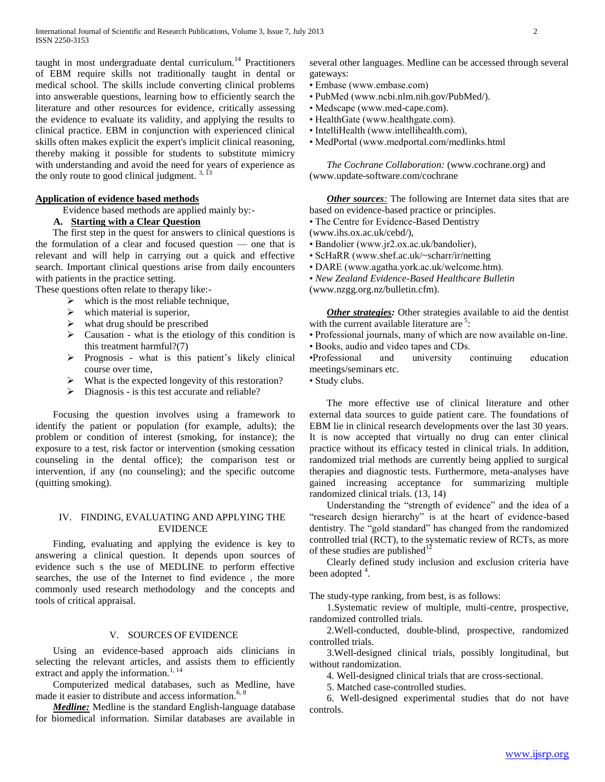taught in most undergraduate dental curriculum.<sup>14</sup> Practitioners of EBM require skills not traditionally taught in dental or medical school. The skills include converting clinical problems into answerable questions, learning how to efficiently search the literature and other resources for evidence, critically assessing the evidence to evaluate its validity, and applying the results to clinical practice. EBM in conjunction with experienced clinical skills often makes explicit the expert's implicit clinical reasoning, thereby making it possible for students to substitute mimicry with understanding and avoid the need for years of experience as the only route to good clinical judgment.  $3,13$ 

## **Application of evidence based methods**

Evidence based methods are applied mainly by:-

## **A. Starting with a Clear Question**

 The first step in the quest for answers to clinical questions is the formulation of a clear and focused question — one that is relevant and will help in carrying out a quick and effective search. Important clinical questions arise from daily encounters with patients in the practice setting.

These questions often relate to therapy like:-

- $\triangleright$  which is the most reliable technique,
- $\triangleright$  which material is superior,
- $\triangleright$  what drug should be prescribed
- $\triangleright$  Causation what is the etiology of this condition is this treatment harmful?(7)
- $\triangleright$  Prognosis what is this patient's likely clinical course over time,
- $\triangleright$  What is the expected longevity of this restoration?
- $\triangleright$  Diagnosis is this test accurate and reliable?

 Focusing the question involves using a framework to identify the patient or population (for example, adults); the problem or condition of interest (smoking, for instance); the exposure to a test, risk factor or intervention (smoking cessation counseling in the dental office); the comparison test or intervention, if any (no counseling); and the specific outcome (quitting smoking).

#### IV. FINDING, EVALUATING AND APPLYING THE EVIDENCE

 Finding, evaluating and applying the evidence is key to answering a clinical question. It depends upon sources of evidence such s the use of MEDLINE to perform effective searches, the use of the Internet to find evidence , the more commonly used research methodology and the concepts and tools of critical appraisal.

## V. SOURCES OF EVIDENCE

 Using an evidence-based approach aids clinicians in selecting the relevant articles, and assists them to efficiently extract and apply the information. $\frac{1}{114}$ 

 Computerized medical databases, such as Medline, have made it easier to distribute and access information.<sup>6, 8</sup>

 *Medline:* Medline is the standard English-language database for biomedical information. Similar databases are available in several other languages. Medline can be accessed through several gateways:

- Embase (www.embase.com)
- PubMed (www.ncbi.nlm.nih.gov/PubMed/).
- Medscape (www.med-cape.com).
- HealthGate (www.healthgate.com).
- IntelliHealth (www.intellihealth.com),
- MedPortal (www.medportal.com/medlinks.html

 *The Cochrane Collaboration:* (www.cochrane.org) and (www.update-software.com/cochrane

*Other sources*: The following are Internet data sites that are based on evidence-based practice or principles.

• The Centre for Evidence-Based Dentistry

- (www.ihs.ox.ac.uk/cebd/),
- Bandolier (www.jr2.ox.ac.uk/bandolier),
- ScHaRR (www.shef.ac.uk/~scharr/ir/netting
- DARE (www.agatha.york.ac.uk/welcome.htm).
- *New Zealand Evidence-Based Healthcare Bulletin*

(www.nzgg.org.nz/bulletin.cfm).

 *Other strategies:* Other strategies available to aid the dentist with the current available literature are <sup>5</sup>:

• Professional journals, many of which are now available on-line.

• Books, audio and video tapes and CDs.

•Professional and university continuing education meetings/seminars etc.

• Study clubs.

 The more effective use of clinical literature and other external data sources to guide patient care. The foundations of EBM lie in clinical research developments over the last 30 years. It is now accepted that virtually no drug can enter clinical practice without its efficacy tested in clinical trials. In addition, randomized trial methods are currently being applied to surgical therapies and diagnostic tests. Furthermore, meta-analyses have gained increasing acceptance for summarizing multiple randomized clinical trials. (13, 14)

Understanding the "strength of evidence" and the idea of a "research design hierarchy" is at the heart of evidence-based dentistry. The "gold standard" has changed from the randomized controlled trial (RCT), to the systematic review of RCTs, as more of these studies are published<sup>12</sup>

 Clearly defined study inclusion and exclusion criteria have been adopted  $4$ .

The study-type ranking, from best, is as follows:

 1.Systematic review of multiple, multi-centre, prospective, randomized controlled trials.

 2.Well-conducted, double-blind, prospective, randomized controlled trials.

 3.Well-designed clinical trials, possibly longitudinal, but without randomization.

4. Well-designed clinical trials that are cross-sectional.

5. Matched case-controlled studies.

 6. Well-designed experimental studies that do not have controls.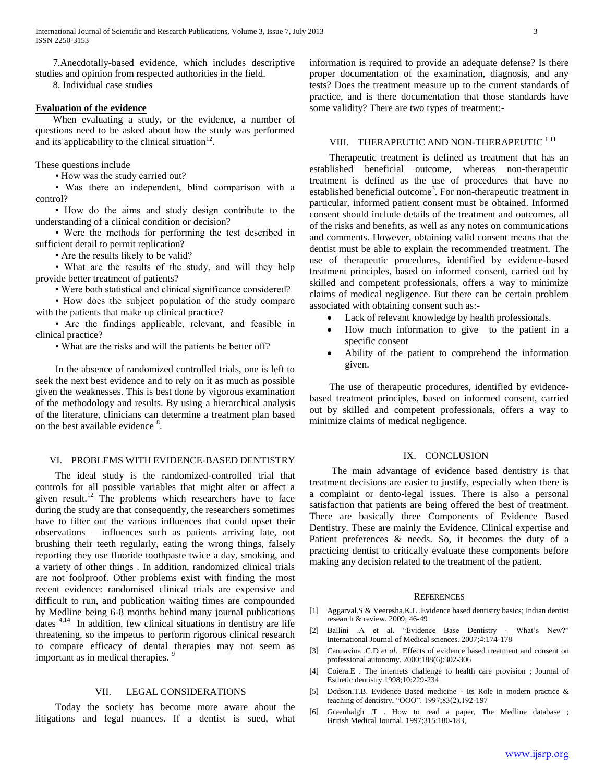7.Anecdotally-based evidence, which includes descriptive studies and opinion from respected authorities in the field.

8. Individual case studies

## **Evaluation of the evidence**

 When evaluating a study, or the evidence, a number of questions need to be asked about how the study was performed and its applicability to the clinical situation $12$ .

These questions include

• How was the study carried out?

 • Was there an independent, blind comparison with a control?

 • How do the aims and study design contribute to the understanding of a clinical condition or decision?

 • Were the methods for performing the test described in sufficient detail to permit replication?

• Are the results likely to be valid?

 • What are the results of the study, and will they help provide better treatment of patients?

• Were both statistical and clinical significance considered?

 • How does the subject population of the study compare with the patients that make up clinical practice?

 • Are the findings applicable, relevant, and feasible in clinical practice?

• What are the risks and will the patients be better off?

 In the absence of randomized controlled trials, one is left to seek the next best evidence and to rely on it as much as possible given the weaknesses. This is best done by vigorous examination of the methodology and results. By using a hierarchical analysis of the literature, clinicians can determine a treatment plan based on the best available evidence <sup>8</sup>.

## VI. PROBLEMS WITH EVIDENCE-BASED DENTISTRY

 The ideal study is the randomized-controlled trial that controls for all possible variables that might alter or affect a given result.<sup>12</sup> The problems which researchers have to face during the study are that consequently, the researchers sometimes have to filter out the various influences that could upset their observations – influences such as patients arriving late, not brushing their teeth regularly, eating the wrong things, falsely reporting they use fluoride toothpaste twice a day, smoking, and a variety of other things . In addition, randomized clinical trials are not foolproof. Other problems exist with finding the most recent evidence: randomised clinical trials are expensive and difficult to run, and publication waiting times are compounded by Medline being 6-8 months behind many journal publications dates 4,14 In addition, few clinical situations in dentistry are life threatening, so the impetus to perform rigorous clinical research to compare efficacy of dental therapies may not seem as important as in medical therapies.<sup>9</sup>

## VII. LEGAL CONSIDERATIONS

 Today the society has become more aware about the litigations and legal nuances. If a dentist is sued, what information is required to provide an adequate defense? Is there proper documentation of the examination, diagnosis, and any tests? Does the treatment measure up to the current standards of practice, and is there documentation that those standards have some validity? There are two types of treatment:-

# VIII. THERAPEUTIC AND NON-THERAPEUTIC 1,11

 Therapeutic treatment is defined as treatment that has an established beneficial outcome, whereas non-therapeutic treatment is defined as the use of procedures that have no established beneficial outcome<sup>3</sup>. For non-therapeutic treatment in particular, informed patient consent must be obtained. Informed consent should include details of the treatment and outcomes, all of the risks and benefits, as well as any notes on communications and comments. However, obtaining valid consent means that the dentist must be able to explain the recommended treatment. The use of therapeutic procedures, identified by evidence-based treatment principles, based on informed consent, carried out by skilled and competent professionals, offers a way to minimize claims of medical negligence. But there can be certain problem associated with obtaining consent such as:-

- Lack of relevant knowledge by health professionals.
- How much information to give to the patient in a specific consent
- Ability of the patient to comprehend the information given.

 The use of therapeutic procedures, identified by evidencebased treatment principles, based on informed consent, carried out by skilled and competent professionals, offers a way to minimize claims of medical negligence.

#### IX. CONCLUSION

 The main advantage of evidence based dentistry is that treatment decisions are easier to justify, especially when there is a complaint or dento-legal issues. There is also a personal satisfaction that patients are being offered the best of treatment. There are basically three Components of Evidence Based Dentistry. These are mainly the Evidence, Clinical expertise and Patient preferences & needs. So, it becomes the duty of a practicing dentist to critically evaluate these components before making any decision related to the treatment of the patient.

#### **REFERENCES**

- [1] Aggarval.S & Veeresha.K.L .Evidence based dentistry basics; Indian dentist research & review. 2009; 46-49
- [2] Ballini .A et al. "Evidence Base Dentistry What's New?" International Journal of Medical sciences. 2007;4:174-178
- [3] Cannavina .C.D *et al*. Effects of evidence based treatment and consent on professional autonomy. 2000;188(6):302-306
- [4] Coiera.E . The internets challenge to health care provision ; Journal of Esthetic dentistry.1998;10:229-234
- [5] Dodson.T.B. Evidence Based medicine Its Role in modern practice & teaching of dentistry, "OOO". 1997;83(2),192-197
- [6] Greenhalgh .T . How to read a paper, The Medline database ; British Medical Journal. 1997;315:180-183,